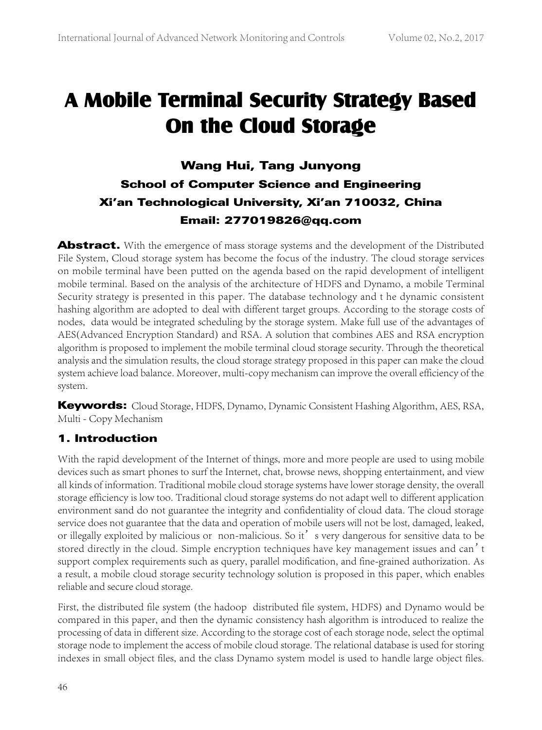# A Mobile Terminal Security Strategy Based On the Cloud Storage

# Wang Hui, Tang Junyong School of Computer Science and Engineering Xi'an Technological University, Xi'an 710032, China Email: 277019826@qq.com

Abstract. With the emergence of mass storage systems and the development of the Distributed File System, Cloud storage system has become the focus of the industry. The cloud storage services on mobile terminal have been putted on the agenda based on the rapid development of intelligent mobile terminal. Based on the analysis of the architecture of HDFS and Dynamo, a mobile Terminal Security strategy is presented in this paper. The database technology and t he dynamic consistent hashing algorithm are adopted to deal with different target groups. According to the storage costs of nodes, data would be integrated scheduling by the storage system. Make full use of the advantages of AES(Advanced Encryption Standard) and RSA. A solution that combines AES and RSA encryption algorithm is proposed to implement the mobile terminal cloud storage security. Through the theoretical analysis and the simulation results, the cloud storage strategy proposed in this paper can make the cloud system achieve load balance. Moreover, multi-copy mechanism can improve the overall efficiency of the system.

Keywords: Cloud Storage, HDFS, Dynamo, Dynamic Consistent Hashing Algorithm, AES, RSA, Multi - Copy Mechanism

# 1. Introduction

With the rapid development of the Internet of things, more and more people are used to using mobile devices such as smart phones to surf the Internet, chat, browse news, shopping entertainment, and view all kinds of information. Traditional mobile cloud storage systems have lower storage density, the overall storage efficiency is low too. Traditional cloud storage systems do not adapt well to different application environment sand do not guarantee the integrity and confidentiality of cloud data. The cloud storage service does not guarantee that the data and operation of mobile users will not be lost, damaged, leaked, or illegally exploited by malicious or non-malicious. So it' s very dangerous for sensitive data to be stored directly in the cloud. Simple encryption techniques have key management issues and can't support complex requirements such as query, parallel modification, and fine-grained authorization. As a result, a mobile cloud storage security technology solution is proposed in this paper, which enables reliable and secure cloud storage.

First, the distributed file system (the hadoop distributed file system, HDFS) and Dynamo would be compared in this paper, and then the dynamic consistency hash algorithm is introduced to realize the processing of data in different size. According to the storage cost of each storage node, select the optimal storage node to implement the access of mobile cloud storage. The relational database is used for storing indexes in small object files, and the class Dynamo system model is used to handle large object files.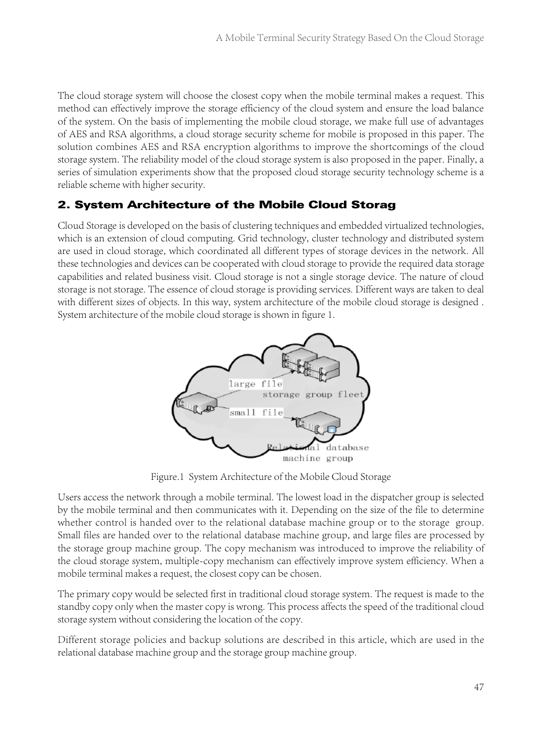The cloud storage system will choose the closest copy when the mobile terminal makes a request. This method can effectively improve the storage efficiency of the cloud system and ensure the load balance of the system. On the basis of implementing the mobile cloud storage, we make full use of advantages of AES and RSA algorithms, a cloud storage security scheme for mobile is proposed in this paper. The solution combines AES and RSA encryption algorithms to improve the shortcomings of the cloud storage system. The reliability model of the cloud storage system is also proposed in the paper. Finally, a series of simulation experiments show that the proposed cloud storage security technology scheme is a reliable scheme with higher security.

# 2. System Architecture of the Mobile Cloud Storag

Cloud Storage is developed on the basis of clustering techniques and embedded virtualized technologies, which is an extension of cloud computing. Grid technology, cluster technology and distributed system are used in cloud storage, which coordinated all different types of storage devices in the network. All these technologies and devices can be cooperated with cloud storage to provide the required data storage capabilities and related business visit. Cloud storage is not a single storage device. The nature of cloud storage is not storage. The essence of cloud storage is providing services. Different ways are taken to deal with different sizes of objects. In this way, system architecture of the mobile cloud storage is designed . System architecture of the mobile cloud storage is shown in figure 1.



Figure.1 System Architecture of the Mobile Cloud Storage

Users access the network through a mobile terminal. The lowest load in the dispatcher group is selected by the mobile terminal and then communicates with it. Depending on the size of the file to determine whether control is handed over to the relational database machine group or to the storage group. Small files are handed over to the relational database machine group, and large files are processed by the storage group machine group. The copy mechanism was introduced to improve the reliability of the cloud storage system, multiple-copy mechanism can effectively improve system efficiency. When a mobile terminal makes a request, the closest copy can be chosen.

The primary copy would be selected first in traditional cloud storage system. The request is made to the standby copy only when the master copy is wrong. This process affects the speed of the traditional cloud storage system without considering the location of the copy.

Different storage policies and backup solutions are described in this article, which are used in the relational database machine group and the storage group machine group.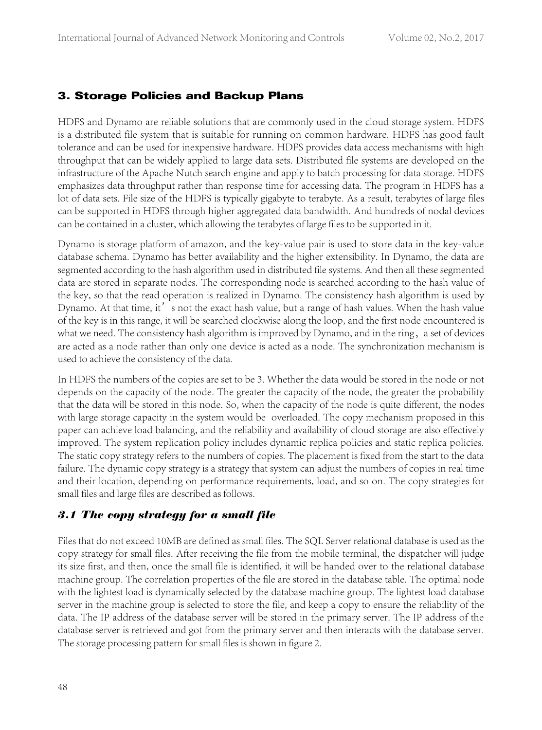#### 3. Storage Policies and Backup Plans

HDFS and Dynamo are reliable solutions that are commonly used in the cloud storage system. HDFS is a distributed file system that is suitable for running on common hardware. HDFS has good fault tolerance and can be used for inexpensive hardware. HDFS provides data access mechanisms with high throughput that can be widely applied to large data sets. Distributed file systems are developed on the infrastructure of the Apache Nutch search engine and apply to batch processing for data storage. HDFS emphasizes data throughput rather than response time for accessing data. The program in HDFS has a lot of data sets. File size of the HDFS is typically gigabyte to terabyte. As a result, terabytes of large files can be supported in HDFS through higher aggregated data bandwidth. And hundreds of nodal devices can be contained in a cluster, which allowing the terabytes of large files to be supported in it.

Dynamo is storage platform of amazon, and the key-value pair is used to store data in the key-value database schema. Dynamo has better availability and the higher extensibility. In Dynamo, the data are segmented according to the hash algorithm used in distributed file systems. And then all these segmented data are stored in separate nodes. The corresponding node is searched according to the hash value of the key, so that the read operation is realized in Dynamo. The consistency hash algorithm is used by Dynamo. At that time, it's not the exact hash value, but a range of hash values. When the hash value of the key is in this range, it will be searched clockwise along the loop, and the first node encountered is what we need. The consistency hash algorithm is improved by Dynamo, and in the ring, a set of devices are acted as a node rather than only one device is acted as a node. The synchronization mechanism is used to achieve the consistency of the data.

In HDFS the numbers of the copies are set to be 3. Whether the data would be stored in the node or not depends on the capacity of the node. The greater the capacity of the node, the greater the probability that the data will be stored in this node. So, when the capacity of the node is quite different, the nodes with large storage capacity in the system would be overloaded. The copy mechanism proposed in this paper can achieve load balancing, and the reliability and availability of cloud storage are also effectively improved. The system replication policy includes dynamic replica policies and static replica policies. The static copy strategy refers to the numbers of copies. The placement is fixed from the start to the data failure. The dynamic copy strategy is a strategy that system can adjust the numbers of copies in real time and their location, depending on performance requirements, load, and so on. The copy strategies for small files and large files are described as follows.

#### *3.1 The copy strategy for a small file*

Files that do not exceed 10MB are defined as small files. The SQL Server relational database is used as the copy strategy for small files. After receiving the file from the mobile terminal, the dispatcher will judge its size first, and then, once the small file is identified, it will be handed over to the relational database machine group. The correlation properties of the file are stored in the database table. The optimal node with the lightest load is dynamically selected by the database machine group. The lightest load database server in the machine group is selected to store the file, and keep a copy to ensure the reliability of the data. The IP address of the database server will be stored in the primary server. The IP address of the database server is retrieved and got from the primary server and then interacts with the database server. The storage processing pattern for small files is shown in figure 2.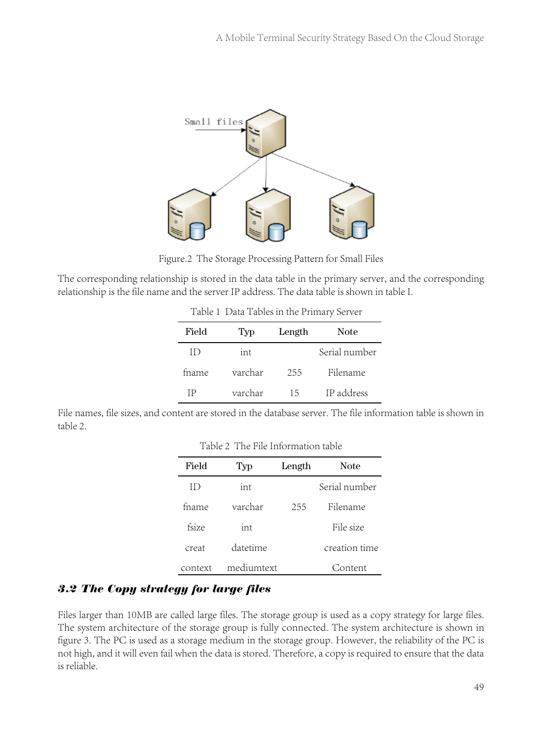

Figure.2 The Storage Processing Pattern for Small Files

The corresponding relationship is stored in the data table in the primary server, and the corresponding relationship is the file name and the server IP address. The data table is shown in table I.

Table 1 Data Tables in the Primary Server

| Field  | Typ | Length | <b>Note</b>           |
|--------|-----|--------|-----------------------|
| $\Box$ | int |        | Serial number         |
| fname  |     |        | Filename              |
| TP.    |     |        | varchar 15 IP address |

File names, file sizes, and content are stored in the database server. The file information table is shown in table 2.

Table 2 The File Information table

| Field     | Typ        | Length | <b>Note</b>   |
|-----------|------------|--------|---------------|
| $\rm{ID}$ | int        |        | Serial number |
| fname     | varchar    | 255    | Filename      |
| fsize     | int        |        | File size     |
| creat     | datetime   |        | creation time |
| context   | mediumtext |        | Content       |

#### *3.2 The Copy strategy for large files*

Files larger than 10MB are called large files. The storage group is used as a copy strategy for large files. The system architecture of the storage group is fully connected. The system architecture is shown in figure 3. The PC is used as a storage medium in the storage group. However, the reliability of the PC is not high, and it will even fail when the data is stored. Therefore, a copy is required to ensure that the data is reliable.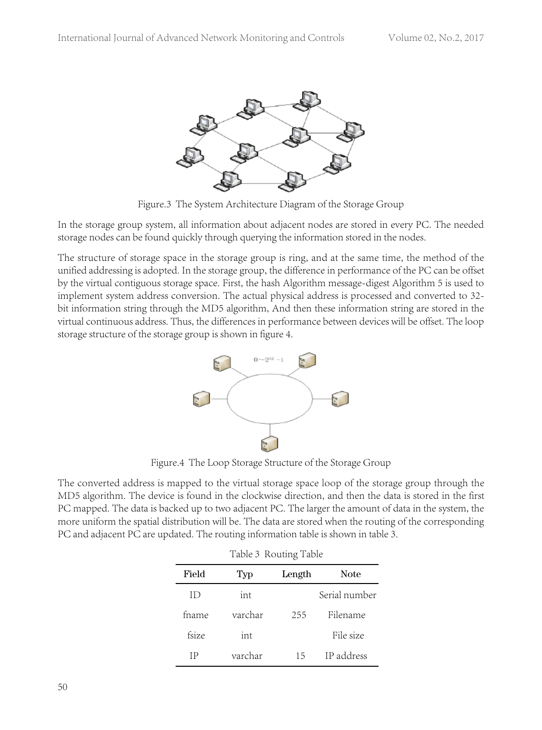

Figure.3 The System Architecture Diagram of the Storage Group

In the storage group system, all information about adjacent nodes are stored in every PC. The needed storage nodes can be found quickly through querying the information stored in the nodes.

The structure of storage space in the storage group is ring, and at the same time, the method of the unified addressing is adopted. In the storage group, the difference in performance of the PC can be offset by the virtual contiguous storage space. First, the hash Algorithm message-digest Algorithm 5 is used to implement system address conversion. The actual physical address is processed and converted to 32 bit information string through the MD5 algorithm, And then these information string are stored in the virtual continuous address. Thus, the differences in performance between devices will be offset. The loop storage structure of the storage group is shown in figure 4.



Figure.4 The Loop Storage Structure of the Storage Group

The converted address is mapped to the virtual storage space loop of the storage group through the MD5 algorithm. The device is found in the clockwise direction, and then the data is stored in the first PC mapped. The data is backed up to two adjacent PC. The larger the amount of data in the system, the more uniform the spatial distribution will be. The data are stored when the routing of the corresponding PC and adjacent PC are updated. The routing information table is shown in table 3.

| Table 3 Routing Table |         |        |               |
|-----------------------|---------|--------|---------------|
| Field                 | Typ     | Length | <b>Note</b>   |
| Ш                     | int     |        | Serial number |
| fname                 | varchar | 255    | Filename      |
| fsize                 | int     |        | File size     |
| IP                    | varchar | 15     | IP address    |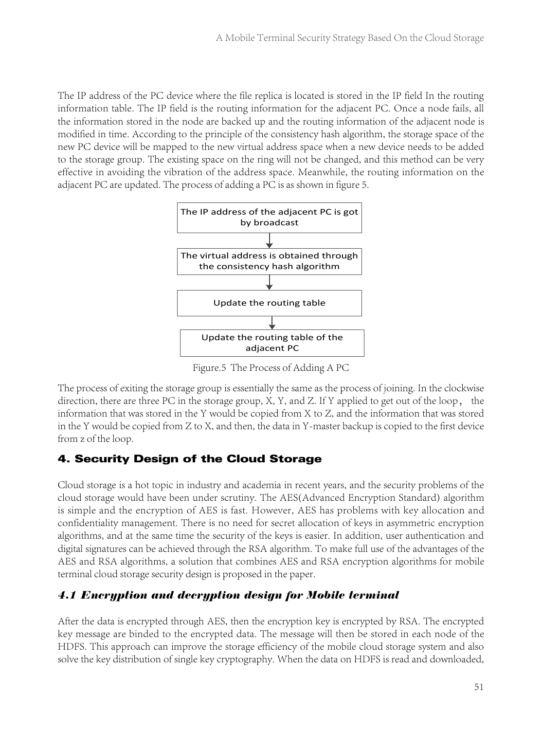The IP address of the PC device where the file replica is located is stored in the IP field In the routing information table. The IP field is the routing information for the adjacent PC. Once a node fails, all the information stored in the node are backed up and the routing information of the adjacent node is modified in time. According to the principle of the consistency hash algorithm, the storage space of the new PC device will be mapped to the new virtual address space when a new device needs to be added to the storage group. The existing space on the ring will not be changed, and this method can be very effective in avoiding the vibration of the address space. Meanwhile, the routing information on the adjacent PC are updated. The process of adding a PC is as shown in figure 5.



Figure.5 The Process of Adding A PC

The process of exiting the storage group is essentially the same as the process of joining. In the clockwise direction, there are three PC in the storage group, X, Y, and Z. If Y applied to get out of the loop, the information that was stored in the Y would be copied from X to Z, and the information that was stored in the Y would be copied from Z to X, and then, the data in Y-master backup is copied to the first device from z of the loop.

# 4. Security Design of the Cloud Storage

Cloud storage is a hot topic in industry and academia in recent years, and the security problems of the cloud storage would have been under scrutiny. The AES(Advanced Encryption Standard) algorithm is simple and the encryption of AES is fast. However, AES has problems with key allocation and confidentiality management. There is no need for secret allocation of keys in asymmetric encryption algorithms, and at the same time the security of the keys is easier. In addition, user authentication and digital signatures can be achieved through the RSA algorithm. To make full use of the advantages of the AES and RSA algorithms, a solution that combines AES and RSA encryption algorithms for mobile terminal cloud storage security design is proposed in the paper.

# *4.1 Encryption and decryption design for Mobile terminal*

After the data is encrypted through AES, then the encryption key is encrypted by RSA. The encrypted key message are binded to the encrypted data. The message will then be stored in each node of the HDFS. This approach can improve the storage efficiency of the mobile cloud storage system and also solve the key distribution of single key cryptography. When the data on HDFS is read and downloaded,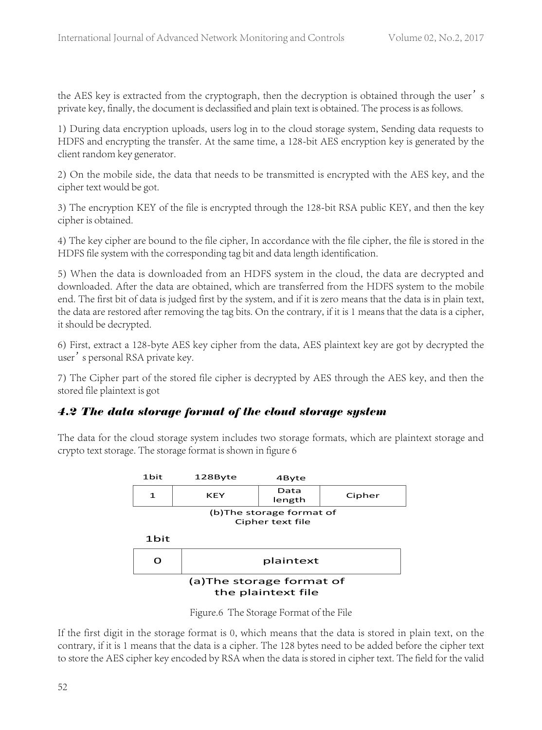the AES key is extracted from the cryptograph, then the decryption is obtained through the user's private key, finally, the document is declassified and plain text is obtained. The process is as follows.

1) During data encryption uploads, users log in to the cloud storage system, Sending data requests to HDFS and encrypting the transfer. At the same time, a 128-bit AES encryption key is generated by the client random key generator.

2) On the mobile side, the data that needs to be transmitted is encrypted with the AES key, and the cipher text would be got.

3) The encryption KEY of the file is encrypted through the 128-bit RSA public KEY, and then the key cipher is obtained.

4) The key cipher are bound to the file cipher, In accordance with the file cipher, the file is stored in the HDFS file system with the corresponding tag bit and data length identification.

5) When the data is downloaded from an HDFS system in the cloud, the data are decrypted and downloaded. After the data are obtained, which are transferred from the HDFS system to the mobile end. The first bit of data is judged first by the system, and if it is zero means that the data is in plain text, the data are restored after removing the tag bits. On the contrary, if it is 1 means that the data is a cipher, it should be decrypted.

6) First, extract a 128-byte AES key cipher from the data, AES plaintext key are got by decrypted the user's personal RSA private key.

7) The Cipher part of the stored file cipher is decrypted by AES through the AES key, and then the stored file plaintext is got

#### *4.2 The data storage format of the cloud storage system*

The data for the cloud storage system includes two storage formats, which are plaintext storage and crypto text storage. The storage format is shown in figure 6



Figure.6 The Storage Format of the File

If the first digit in the storage format is 0, which means that the data is stored in plain text, on the contrary, if it is 1 means that the data is a cipher. The 128 bytes need to be added before the cipher text to store the AES cipher key encoded by RSA when the data is stored in cipher text. The field for the valid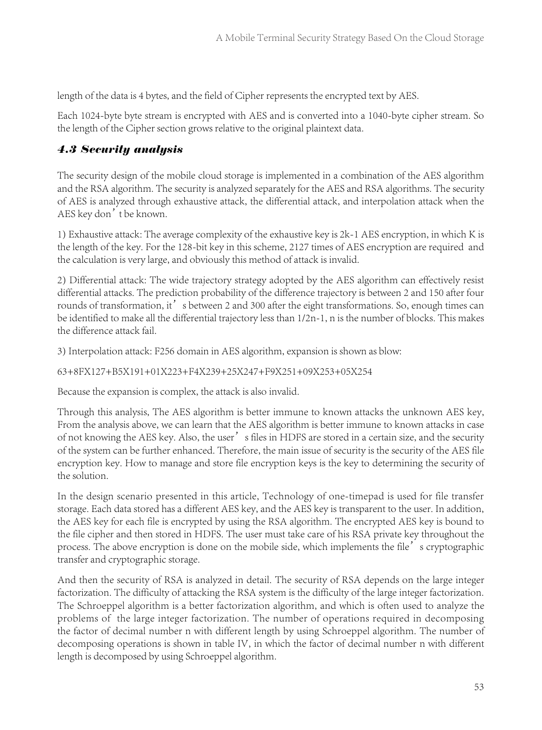length of the data is 4 bytes, and the field of Cipher represents the encrypted text by AES.

Each 1024-byte byte stream is encrypted with AES and is converted into a 1040-byte cipher stream. So the length of the Cipher section grows relative to the original plaintext data.

#### *4.3 Security analysis*

The security design of the mobile cloud storage is implemented in a combination of the AES algorithm and the RSA algorithm. The security is analyzed separately for the AES and RSA algorithms. The security of AES is analyzed through exhaustive attack, the differential attack, and interpolation attack when the AES key don't be known.

1) Exhaustive attack: The average complexity of the exhaustive key is 2k-1 AES encryption, in which K is the length of the key. For the 128-bit key in this scheme, 2127 times of AES encryption are required and the calculation is very large, and obviously this method of attack is invalid.

2) Differential attack: The wide trajectory strategy adopted by the AES algorithm can effectively resist differential attacks. The prediction probability of the difference trajectory is between 2 and 150 after four rounds of transformation, it' s between 2 and 300 after the eight transformations. So, enough times can be identified to make all the differential trajectory less than 1/2n-1, n is the number of blocks. This makes the difference attack fail.

3) Interpolation attack: F256 domain in AES algorithm, expansion is shown as blow:

63+8FX127+B5X191+01X223+F4X239+25X247+F9X251+09X253+05X254

Because the expansion is complex, the attack is also invalid.

Through this analysis, The AES algorithm is better immune to known attacks the unknown AES key, From the analysis above, we can learn that the AES algorithm is better immune to known attacks in case of not knowing the AES key. Also, the user's files in HDFS are stored in a certain size, and the security of the system can be further enhanced. Therefore, the main issue of security is the security of the AES file encryption key. How to manage and store file encryption keys is the key to determining the security of the solution.

In the design scenario presented in this article, Technology of one-timepad is used for file transfer storage. Each data stored has a different AES key, and the AES key is transparent to the user. In addition, the AES key for each file is encrypted by using the RSA algorithm. The encrypted AES key is bound to the file cipher and then stored in HDFS. The user must take care of his RSA private key throughout the process. The above encryption is done on the mobile side, which implements the file's cryptographic transfer and cryptographic storage.

And then the security of RSA is analyzed in detail. The security of RSA depends on the large integer factorization. The difficulty of attacking the RSA system is the difficulty of the large integer factorization. The Schroeppel algorithm is a better factorization algorithm, and which is often used to analyze the problems of the large integer factorization. The number of operations required in decomposing the factor of decimal number n with different length by using Schroeppel algorithm. The number of decomposing operations is shown in table IV, in which the factor of decimal number n with different length is decomposed by using Schroeppel algorithm.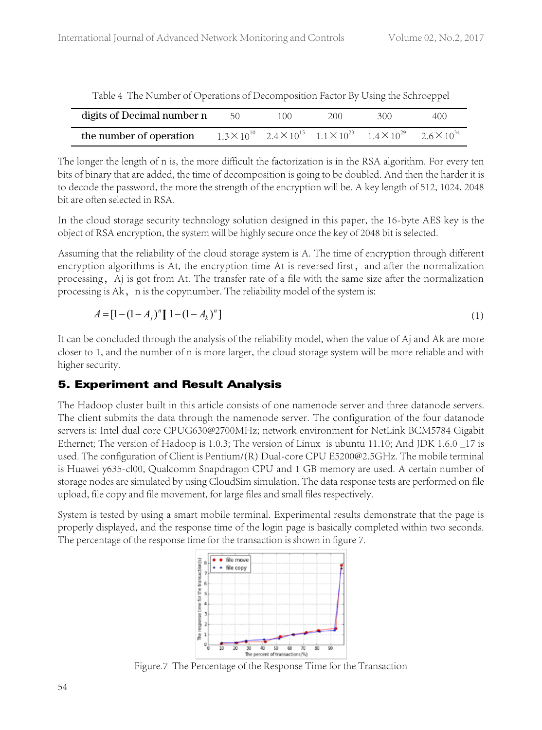| Table 1 The Founder of Operations of Decomposition Factor by Osing the Semberper |      |      |      |                                                                                                          |     |
|----------------------------------------------------------------------------------|------|------|------|----------------------------------------------------------------------------------------------------------|-----|
| digits of Decimal number n                                                       | - 50 | 100. | 200. | 300                                                                                                      | 400 |
| the number of operation                                                          |      |      |      | $1.3 \times 10^{10}$ $2.4 \times 10^{15}$ $1.1 \times 10^{23}$ $1.4 \times 10^{29}$ $2.6 \times 10^{34}$ |     |

Table 4 The Number of Operations of Decomposition Factor By Using the Schroeppel

The longer the length of n is, the more difficult the factorization is in the RSA algorithm. For every ten bits of binary that are added, the time of decomposition is going to be doubled. And then the harder it is to decode the password, the more the strength of the encryption will be. A key length of 512, 1024, 2048 bit are often selected in RSA.

In the cloud storage security technology solution designed in this paper, the 16-byte AES key is the object of RSA encryption, the system will be highly secure once the key of 2048 bit is selected.

Assuming that the reliability of the cloud storage system is A. The time of encryption through different encryption algorithms is At, the encryption time At is reversed first, and after the normalization processing, Aj is got from At. The transfer rate of a file with the same size after the normalization processing is Ak, n is the copynumber. The reliability model of the system is:

$$
A = [1 - (1 - A_j)^n] [1 - (1 - A_k)^n]
$$
\n(1)

It can be concluded through the analysis of the reliability model, when the value of Aj and Ak are more closer to 1, and the number of n is more larger, the cloud storage system will be more reliable and with higher security.

# 5. Experiment and Result Analysis

The Hadoop cluster built in this article consists of one namenode server and three datanode servers. The client submits the data through the namenode server. The configuration of the four datanode servers is: Intel dual core CPUG630@2700MHz; network environment for NetLink BCM5784 Gigabit Ethernet; The version of Hadoop is 1.0.3; The version of Linux is ubuntu 11.10; And JDK 1.6.0 \_17 is used. The configuration of Client is Pentium/(R) Dual-core CPU E5200@2.5GHz. The mobile terminal is Huawei y635-cl00, Qualcomm Snapdragon CPU and 1 GB memory are used. A certain number of storage nodes are simulated by using CloudSim simulation. The data response tests are performed on file upload, file copy and file movement, for large files and small files respectively.

System is tested by using a smart mobile terminal. Experimental results demonstrate that the page is properly displayed, and the response time of the login page is basically completed within two seconds. The percentage of the response time for the transaction is shown in figure 7.



Figure.7 The Percentage of the Response Time for the Transaction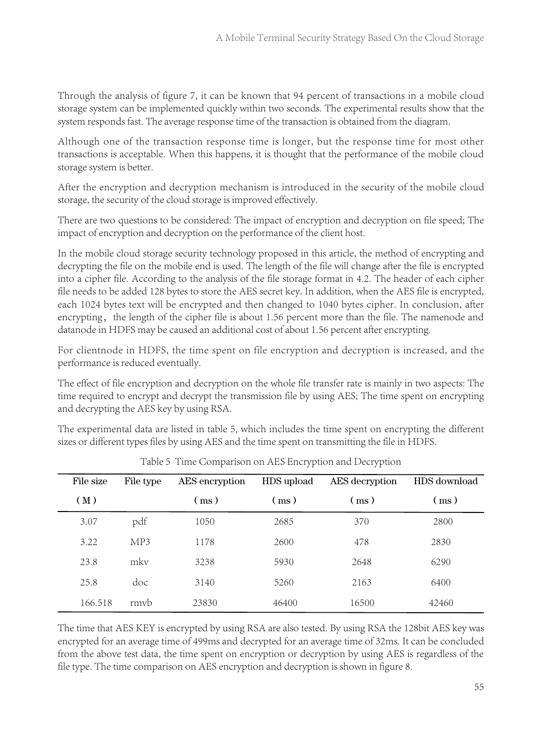Through the analysis of figure 7, it can be known that 94 percent of transactions in a mobile cloud storage system can be implemented quickly within two seconds. The experimental results show that the system responds fast. The average response time of the transaction is obtained from the diagram.

Although one of the transaction response time is longer, but the response time for most other transactions is acceptable. When this happens, it is thought that the performance of the mobile cloud storage system is better.

After the encryption and decryption mechanism is introduced in the security of the mobile cloud storage, the security of the cloud storage is improved effectively.

There are two questions to be considered: The impact of encryption and decryption on file speed; The impact of encryption and decryption on the performance of the client host.

In the mobile cloud storage security technology proposed in this article, the method of encrypting and decrypting the file on the mobile end is used. The length of the file will change after the file is encrypted into a cipher file. According to the analysis of the file storage format in 4.2. The header of each cipher file needs to be added 128 bytes to store the AES secret key. In addition, when the AES file is encrypted, each 1024 bytes text will be encrypted and then changed to 1040 bytes cipher. In conclusion, after encrypting, the length of the cipher file is about 1.56 percent more than the file. The namenode and datanode in HDFS may be caused an additional cost of about 1.56 percent after encrypting.

For clientnode in HDFS, the time spent on file encryption and decryption is increased, and the performance is reduced eventually.

The effect of file encryption and decryption on the whole file transfer rate is mainly in two aspects: The time required to encrypt and decrypt the transmission file by using AES; The time spent on encrypting and decrypting the AES key by using RSA.

The experimental data are listed in table 5, which includes the time spent on encrypting the different sizes or different types files by using AES and the time spent on transmitting the file in HDFS.

| File size | File type | AES encryption | HDS upload | AES decryption | HDS download |
|-----------|-----------|----------------|------------|----------------|--------------|
| (M)       |           | (ms)           | (ms)       | (ms)           | (ms)         |
| 3.07      | pdf       | 1050           | 2685       | 370            | 2800         |
| 3.22      | MP3       | 1178           | 2600       | 478            | 2830         |
| 23.8      | mky       | 3238           | 5930       | 2648           | 6290         |
| 25.8      | doc       | 3140           | 5260       | 2163           | 6400         |
| 166.518   | rmyb      | 23830          | 46400      | 16500          | 42460        |

Table 5 Time Comparison on AES Encryption and Decryption

The time that AES KEY is encrypted by using RSA are also tested. By using RSA the 128bit AES key was encrypted for an average time of 499ms and decrypted for an average time of 32ms. It can be concluded from the above test data, the time spent on encryption or decryption by using AES is regardless of the file type. The time comparison on AES encryption and decryption is shown in figure 8.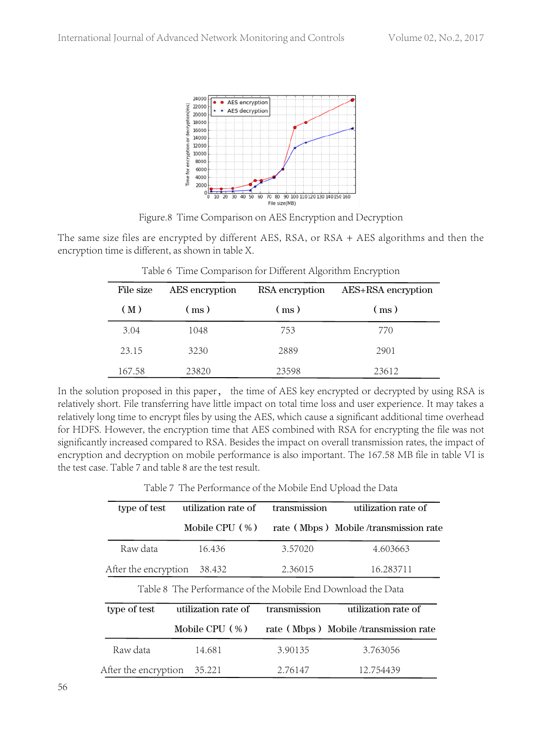

Figure.8 Time Comparison on AES Encryption and Decryption

The same size files are encrypted by different AES, RSA, or RSA + AES algorithms and then the encryption time is different, as shown in table X.

| File size | AES encryption | RSA encryption | AES+RSA encryption |
|-----------|----------------|----------------|--------------------|
| (M)       | (ms)           | (ms)           | (ms)               |
| 3.04      | 1048           | 753            | 770                |
| 23.15     | 3230           | 2889           | 2901               |
| 167.58    | 23820          | 23598          | 23612              |

Table 6 Time Comparison for Different Algorithm Encryption

In the solution proposed in this paper, the time of AES key encrypted or decrypted by using RSA is relatively short. File transferring have little impact on total time loss and user experience. It may takes a relatively long time to encrypt files by using the AES, which cause a significant additional time overhead for HDFS. However, the encryption time that AES combined with RSA for encrypting the file was not significantly increased compared to RSA. Besides the impact on overall transmission rates, the impact of encryption and decryption on mobile performance is also important. The 167.58 MB file in table VI is the test case. Table 7 and table 8 are the test result.

Table 7 The Performance of the Mobile End Upload the Data

| type of test         | utilization rate of                                         | transmission | utilization rate of                  |
|----------------------|-------------------------------------------------------------|--------------|--------------------------------------|
|                      | Mobile CPU $(\% )$                                          |              | rate (Mbps) Mobile/transmission rate |
| Raw data             | 16.436                                                      | 3.57020      | 4.603663                             |
| After the encryption | 38.432                                                      | 2.36015      | 16.283711                            |
|                      | Table 8 The Performance of the Mobile End Download the Data |              |                                      |
| type of test         | utilization rate of                                         | transmission | utilization rate of                  |
|                      | Mobile CPU $(\% )$                                          |              | rate (Mbps) Mobile/transmission rate |
| Raw data             | 14.681                                                      | 3.90135      | 3.763056                             |
| After the encryption | 35.221                                                      | 2.76147      | 12.754439                            |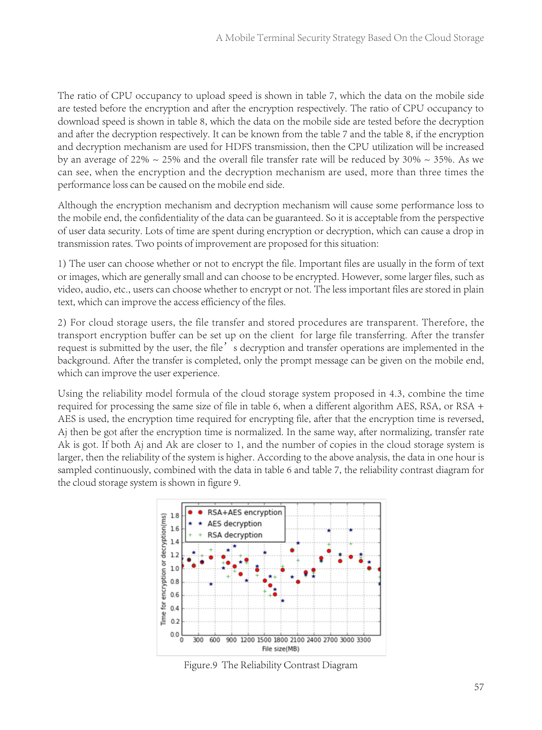The ratio of CPU occupancy to upload speed is shown in table 7, which the data on the mobile side are tested before the encryption and after the encryption respectively. The ratio of CPU occupancy to download speed is shown in table 8, which the data on the mobile side are tested before the decryption and after the decryption respectively. It can be known from the table 7 and the table 8, if the encryption and decryption mechanism are used for HDFS transmission, then the CPU utilization will be increased by an average of 22%  $\sim$  25% and the overall file transfer rate will be reduced by 30%  $\sim$  35%. As we can see, when the encryption and the decryption mechanism are used, more than three times the performance loss can be caused on the mobile end side.

Although the encryption mechanism and decryption mechanism will cause some performance loss to the mobile end, the confidentiality of the data can be guaranteed. So it is acceptable from the perspective of user data security. Lots of time are spent during encryption or decryption, which can cause a drop in transmission rates. Two points of improvement are proposed for this situation:

1) The user can choose whether or not to encrypt the file. Important files are usually in the form of text or images, which are generally small and can choose to be encrypted. However, some larger files, such as video, audio, etc., users can choose whether to encrypt or not. The less important files are stored in plain text, which can improve the access efficiency of the files.

2) For cloud storage users, the file transfer and stored procedures are transparent. Therefore, the transport encryption buffer can be set up on the client for large file transferring. After the transfer request is submitted by the user, the file's decryption and transfer operations are implemented in the background. After the transfer is completed, only the prompt message can be given on the mobile end, which can improve the user experience.

Using the reliability model formula of the cloud storage system proposed in 4.3, combine the time required for processing the same size of file in table 6, when a different algorithm AES, RSA, or RSA + AES is used, the encryption time required for encrypting file, after that the encryption time is reversed, Aj then be got after the encryption time is normalized. In the same way, after normalizing, transfer rate Ak is got. If both Aj and Ak are closer to 1, and the number of copies in the cloud storage system is larger, then the reliability of the system is higher. According to the above analysis, the data in one hour is sampled continuously, combined with the data in table 6 and table 7, the reliability contrast diagram for the cloud storage system is shown in figure 9.



Figure.9 The Reliability Contrast Diagram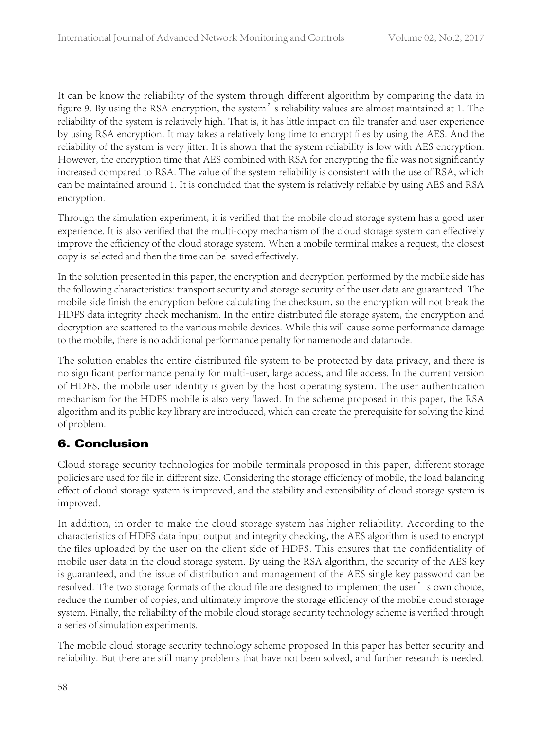It can be know the reliability of the system through different algorithm by comparing the data in figure 9. By using the RSA encryption, the system's reliability values are almost maintained at 1. The reliability of the system is relatively high. That is, it has little impact on file transfer and user experience by using RSA encryption. It may takes a relatively long time to encrypt files by using the AES. And the reliability of the system is very jitter. It is shown that the system reliability is low with AES encryption. However, the encryption time that AES combined with RSA for encrypting the file was not significantly increased compared to RSA. The value of the system reliability is consistent with the use of RSA, which can be maintained around 1. It is concluded that the system is relatively reliable by using AES and RSA encryption.

Through the simulation experiment, it is verified that the mobile cloud storage system has a good user experience. It is also verified that the multi-copy mechanism of the cloud storage system can effectively improve the efficiency of the cloud storage system. When a mobile terminal makes a request, the closest copy is selected and then the time can be saved effectively.

In the solution presented in this paper, the encryption and decryption performed by the mobile side has the following characteristics: transport security and storage security of the user data are guaranteed. The mobile side finish the encryption before calculating the checksum, so the encryption will not break the HDFS data integrity check mechanism. In the entire distributed file storage system, the encryption and decryption are scattered to the various mobile devices. While this will cause some performance damage to the mobile, there is no additional performance penalty for namenode and datanode.

The solution enables the entire distributed file system to be protected by data privacy, and there is no significant performance penalty for multi-user, large access, and file access. In the current version of HDFS, the mobile user identity is given by the host operating system. The user authentication mechanism for the HDFS mobile is also very flawed. In the scheme proposed in this paper, the RSA algorithm and its public key library are introduced, which can create the prerequisite for solving the kind of problem.

# 6. Conclusion

Cloud storage security technologies for mobile terminals proposed in this paper, different storage policies are used for file in different size. Considering the storage efficiency of mobile, the load balancing effect of cloud storage system is improved, and the stability and extensibility of cloud storage system is improved.

In addition, in order to make the cloud storage system has higher reliability. According to the characteristics of HDFS data input output and integrity checking, the AES algorithm is used to encrypt the files uploaded by the user on the client side of HDFS. This ensures that the confidentiality of mobile user data in the cloud storage system. By using the RSA algorithm, the security of the AES key is guaranteed, and the issue of distribution and management of the AES single key password can be resolved. The two storage formats of the cloud file are designed to implement the user's own choice, reduce the number of copies, and ultimately improve the storage efficiency of the mobile cloud storage system. Finally, the reliability of the mobile cloud storage security technology scheme is verified through a series of simulation experiments.

The mobile cloud storage security technology scheme proposed In this paper has better security and reliability. But there are still many problems that have not been solved, and further research is needed.